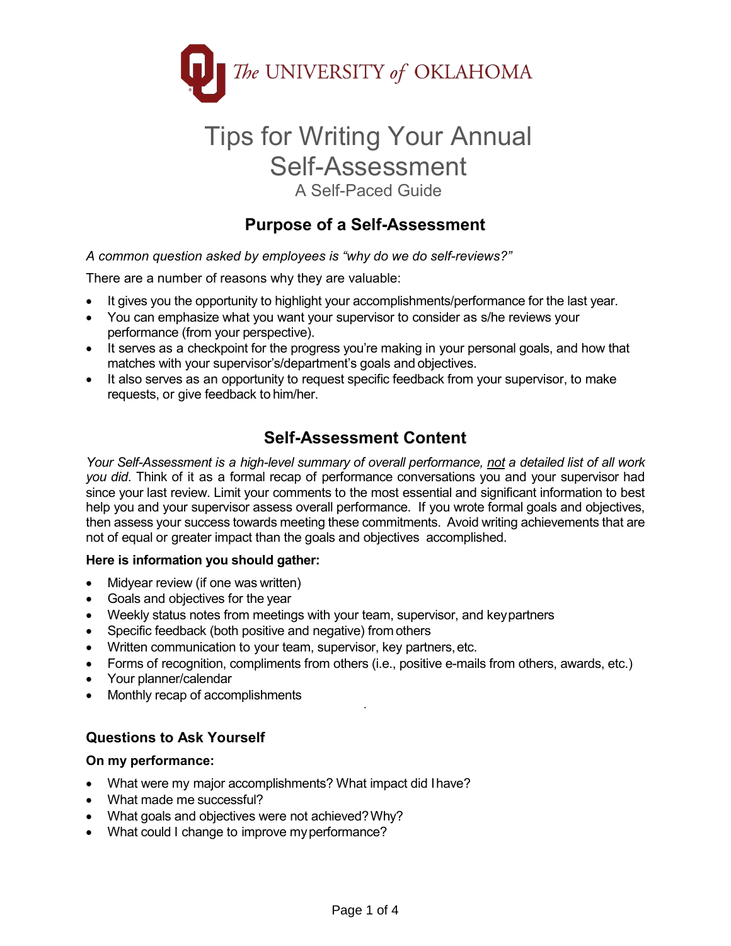

# Tips for Writing Your Annual Self-Assessment A Self-Paced Guide

# **Purpose of a Self-Assessment**

*A common question asked by employees is "why do we do self-reviews?"*

There are a number of reasons why they are valuable:

- It gives you the opportunity to highlight your accomplishments/performance for the last year.
- You can emphasize what you want your supervisor to consider as s/he reviews your performance (from your perspective).
- It serves as a checkpoint for the progress you're making in your personal goals, and how that matches with your supervisor's/department's goals and objectives.
- It also serves as an opportunity to request specific feedback from your supervisor, to make requests, or give feedback to him/her.

# **Self-Assessment Content**

*Your Self-Assessment is a high-level summary of overall performance, not a detailed list of all work you did*. Think of it as a formal recap of performance conversations you and your supervisor had since your last review. Limit your comments to the most essential and significant information to best help you and your supervisor assess overall performance. If you wrote formal goals and objectives, then assess your success towards meeting these commitments. Avoid writing achievements that are not of equal or greater impact than the goals and objectives accomplished.

#### **Here is information you should gather:**

- Midyear review (if one was written)
- Goals and objectives for the year
- Weekly status notes from meetings with your team, supervisor, and keypartners
- Specific feedback (both positive and negative) from others
- Written communication to your team, supervisor, key partners,etc.
- Forms of recognition, compliments from others (i.e., positive e-mails from others, awards, etc.)

.

- Your planner/calendar
- Monthly recap of accomplishments

### **Questions to Ask Yourself**

#### **On my performance:**

- What were my major accomplishments? What impact did Ihave?
- What made me successful?
- What goals and objectives were not achieved?Why?
- What could I change to improve my performance?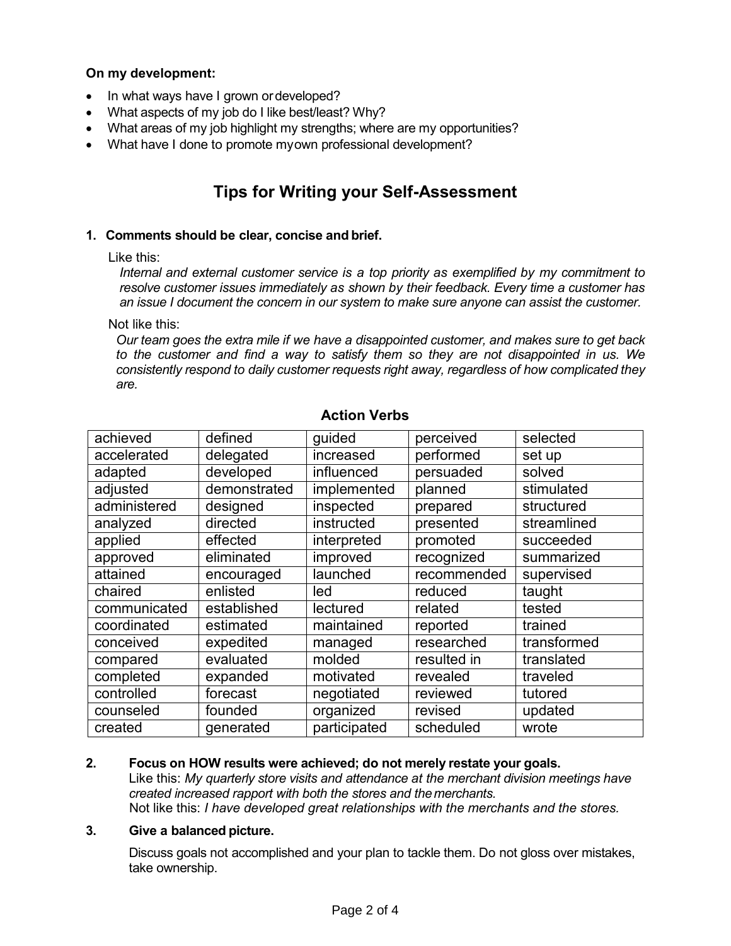#### **On my development:**

- In what ways have I grown ordeveloped?
- What aspects of my job do I like best/least? Why?
- What areas of my job highlight my strengths; where are my opportunities?
- What have I done to promote myown professional development?

# **Tips for Writing your Self-Assessment**

#### **1. Comments should be clear, concise and brief.**

Like this:

*Internal and external customer service is a top priority as exemplified by my commitment to resolve customer issues immediately as shown by their feedback. Every time a customer has an issue I document the concern in our system to make sure anyone can assist the customer.*

Not like this:

*Our team goes the extra mile if we have a disappointed customer, and makes sure to get back to the customer and find a way to satisfy them so they are not disappointed in us. We consistently respond to daily customer requests right away, regardless of how complicated they are.*

| achieved     | defined      | guided       | perceived   | selected    |
|--------------|--------------|--------------|-------------|-------------|
| accelerated  | delegated    | increased    | performed   | set up      |
| adapted      | developed    | influenced   | persuaded   | solved      |
| adjusted     | demonstrated | implemented  | planned     | stimulated  |
| administered | designed     | inspected    | prepared    | structured  |
| analyzed     | directed     | instructed   | presented   | streamlined |
| applied      | effected     | interpreted  | promoted    | succeeded   |
| approved     | eliminated   | improved     | recognized  | summarized  |
| attained     | encouraged   | launched     | recommended | supervised  |
| chaired      | enlisted     | led          | reduced     | taught      |
| communicated | established  | lectured     | related     | tested      |
| coordinated  | estimated    | maintained   | reported    | trained     |
| conceived    | expedited    | managed      | researched  | transformed |
| compared     | evaluated    | molded       | resulted in | translated  |
| completed    | expanded     | motivated    | revealed    | traveled    |
| controlled   | forecast     | negotiated   | reviewed    | tutored     |
| counseled    | founded      | organized    | revised     | updated     |
| created      | generated    | participated | scheduled   | wrote       |

### **Action Verbs**

#### **2. Focus on HOW results were achieved; do not merely restate your goals.**

Like this: *My quarterly store visits and attendance at the merchant division meetings have created increased rapport with both the stores and themerchants.* Not like this: *I have developed great relationships with the merchants and the stores.*

#### **3. Give a balanced picture.**

Discuss goals not accomplished and your plan to tackle them. Do not gloss over mistakes, take ownership.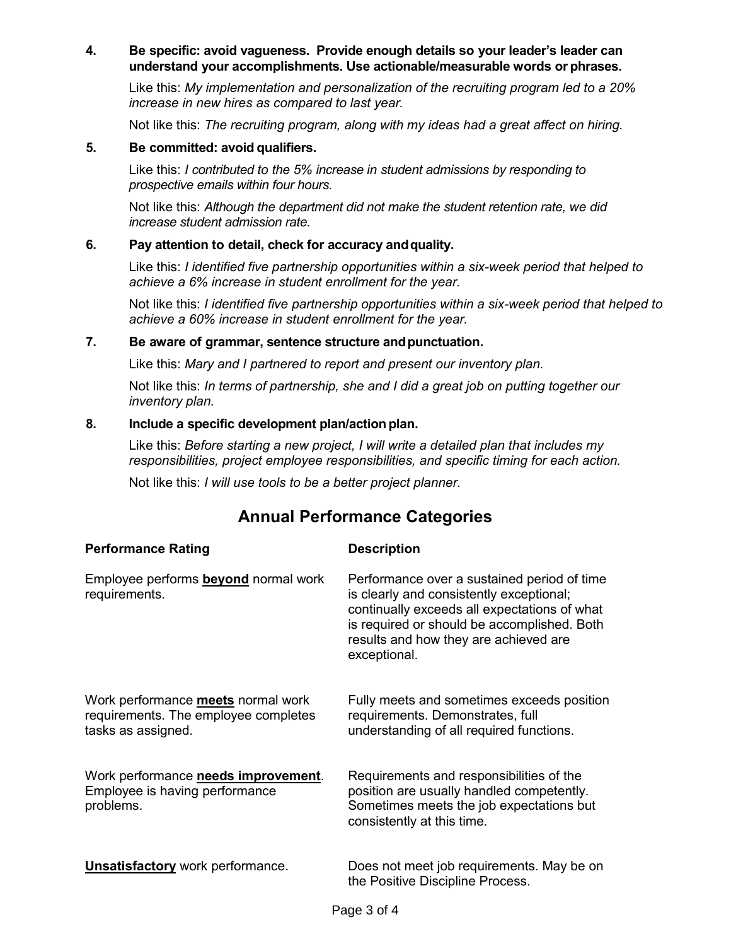#### **4. Be specific: avoid vagueness. Provide enough details so your leader's leader can understand your accomplishments. Use actionable/measurable words or phrases.**

Like this: *My implementation and personalization of the recruiting program led to a 20% increase in new hires as compared to last year.*

Not like this: *The recruiting program, along with my ideas had a great affect on hiring.*

#### **5. Be committed: avoid qualifiers.**

Like this: *I contributed to the 5% increase in student admissions by responding to prospective emails within four hours.*

Not like this: *Although the department did not make the student retention rate, we did increase student admission rate.*

#### **6. Pay attention to detail, check for accuracy andquality.**

Like this: *I identified five partnership opportunities within a six-week period that helped to achieve a 6% increase in student enrollment for the year.*

Not like this: *I identified five partnership opportunities within a six-week period that helped to achieve a 60% increase in student enrollment for the year.*

#### **7. Be aware of grammar, sentence structure andpunctuation.**

Like this: *Mary and I partnered to report and present our inventory plan.*

Not like this: *In terms of partnership, she and I did a great job on putting together our inventory plan.*

#### **8. Include a specific development plan/action plan.**

Like this: *Before starting a new project, I will write a detailed plan that includes my responsibilities, project employee responsibilities, and specific timing for each action.*

Not like this: *I will use tools to be a better project planner.*

## **Annual Performance Categories**

| <b>Performance Rating</b>                                                                        | <b>Description</b>                                                                                                                                                                                                                              |
|--------------------------------------------------------------------------------------------------|-------------------------------------------------------------------------------------------------------------------------------------------------------------------------------------------------------------------------------------------------|
| Employee performs <b>beyond</b> normal work<br>requirements.                                     | Performance over a sustained period of time<br>is clearly and consistently exceptional;<br>continually exceeds all expectations of what<br>is required or should be accomplished. Both<br>results and how they are achieved are<br>exceptional. |
| Work performance meets normal work<br>requirements. The employee completes<br>tasks as assigned. | Fully meets and sometimes exceeds position<br>requirements. Demonstrates, full<br>understanding of all required functions.                                                                                                                      |
| Work performance needs improvement.<br>Employee is having performance<br>problems.               | Requirements and responsibilities of the<br>position are usually handled competently.<br>Sometimes meets the job expectations but<br>consistently at this time.                                                                                 |
| <b>Unsatisfactory</b> work performance.                                                          | Does not meet job requirements. May be on<br>the Positive Discipline Process.                                                                                                                                                                   |